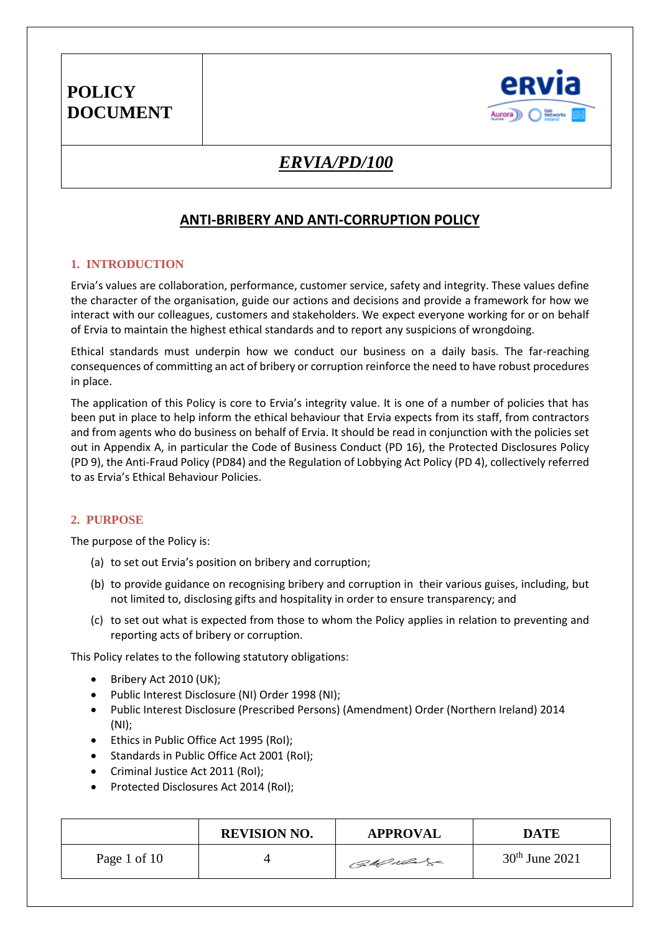

### *ERVIA/PD/100*

### **ANTI-BRIBERY AND ANTI-CORRUPTION POLICY**

#### **1. INTRODUCTION**

Ervia's values are collaboration, performance, customer service, safety and integrity. These values define the character of the organisation, guide our actions and decisions and provide a framework for how we interact with our colleagues, customers and stakeholders. We expect everyone working for or on behalf of Ervia to maintain the highest ethical standards and to report any suspicions of wrongdoing.

Ethical standards must underpin how we conduct our business on a daily basis. The far-reaching consequences of committing an act of bribery or corruption reinforce the need to have robust procedures in place.

The application of this Policy is core to Ervia's integrity value. It is one of a number of policies that has been put in place to help inform the ethical behaviour that Ervia expects from its staff, from contractors and from agents who do business on behalf of Ervia. It should be read in conjunction with the policies set out in Appendix A, in particular the Code of Business Conduct (PD 16), the Protected Disclosures Policy (PD 9), the Anti-Fraud Policy (PD84) and the Regulation of Lobbying Act Policy (PD 4), collectively referred to as Ervia's Ethical Behaviour Policies.

#### **2. PURPOSE**

The purpose of the Policy is:

- (a) to set out Ervia's position on bribery and corruption;
- (b) to provide guidance on recognising bribery and corruption in their various guises, including, but not limited to, disclosing gifts and hospitality in order to ensure transparency; and
- (c) to set out what is expected from those to whom the Policy applies in relation to preventing and reporting acts of bribery or corruption.

This Policy relates to the following statutory obligations:

- Bribery Act 2010 (UK);
- Public Interest Disclosure (NI) Order 1998 (NI);
- [Public Interest Disclosure \(Prescribed Persons\) \(Amendment\) Order \(Northern Ireland\) 2014](http://www.legislation.gov.uk/nisr/2014/48/contents/made) (NI);
- Ethics in Public Office Act 1995 (RoI);
- Standards in Public Office Act 2001 (RoI);
- Criminal Justice Act 2011 (RoI);
- Protected Disclosures Act 2014 (RoI);

|              | <b>REVISION NO.</b> | <b>APPROVAL</b> | DATE             |
|--------------|---------------------|-----------------|------------------|
| Page 1 of 10 |                     | CaMulage        | $30th$ June 2021 |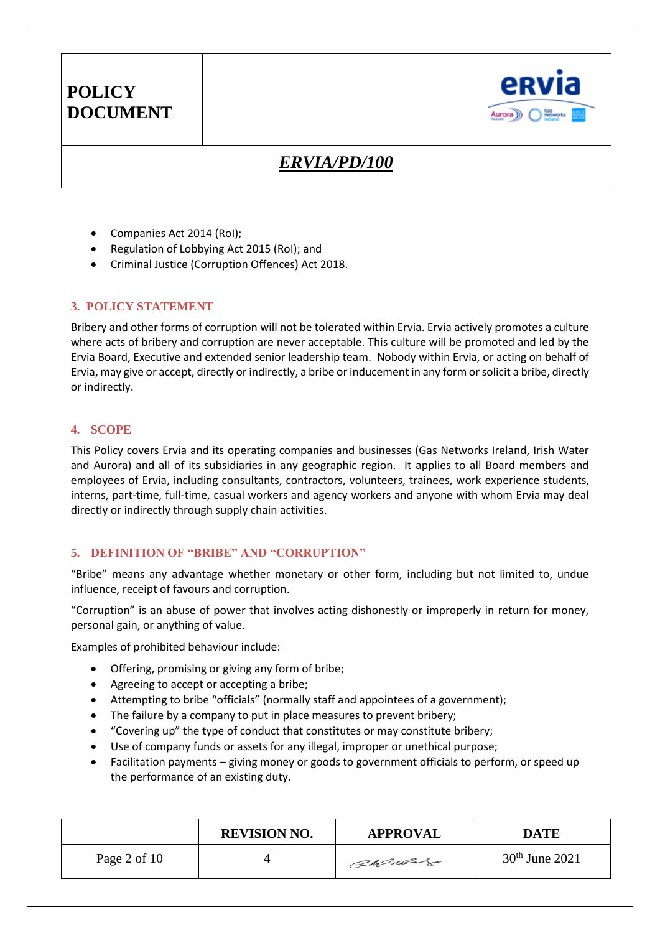

### *ERVIA/PD/100*

- Companies Act 2014 (RoI);
- Regulation of Lobbying Act 2015 (RoI); and
- Criminal Justice (Corruption Offences) Act 2018.

#### **3. POLICY STATEMENT**

Bribery and other forms of corruption will not be tolerated within Ervia. Ervia actively promotes a culture where acts of bribery and corruption are never acceptable. This culture will be promoted and led by the Ervia Board, Executive and extended senior leadership team. Nobody within Ervia, or acting on behalf of Ervia, may give or accept, directly or indirectly, a bribe or inducement in any form or solicit a bribe, directly or indirectly.

#### **4. SCOPE**

This Policy covers Ervia and its operating companies and businesses (Gas Networks Ireland, Irish Water and Aurora) and all of its subsidiaries in any geographic region. It applies to all Board members and employees of Ervia, including consultants, contractors, volunteers, trainees, work experience students, interns, part-time, full-time, casual workers and agency workers and anyone with whom Ervia may deal directly or indirectly through supply chain activities.

#### **5. DEFINITION OF "BRIBE" AND "CORRUPTION"**

"Bribe" means any advantage whether monetary or other form, including but not limited to, undue influence, receipt of favours and corruption.

"Corruption" is an abuse of power that involves acting dishonestly or improperly in return for money, personal gain, or anything of value.

Examples of prohibited behaviour include:

- Offering, promising or giving any form of bribe;
- Agreeing to accept or accepting a bribe;
- Attempting to bribe "officials" (normally staff and appointees of a government);
- The failure by a company to put in place measures to prevent bribery;
- "Covering up" the type of conduct that constitutes or may constitute bribery;
- Use of company funds or assets for any illegal, improper or unethical purpose;
- Facilitation payments giving money or goods to government officials to perform, or speed up the performance of an existing duty.

|                | <b>REVISION NO.</b> | <b>APPROVAL</b> | <b>DATE</b>      |
|----------------|---------------------|-----------------|------------------|
| Page 2 of $10$ |                     | CaMular         | $30th$ June 2021 |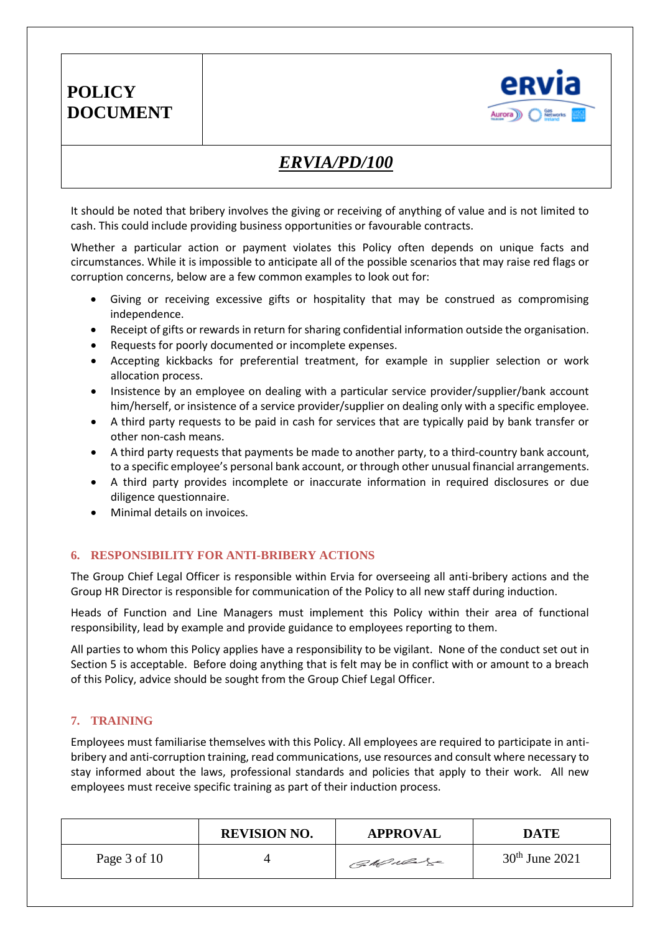

### *ERVIA/PD/100*

It should be noted that bribery involves the giving or receiving of anything of value and is not limited to cash. This could include providing business opportunities or favourable contracts.

Whether a particular action or payment violates this Policy often depends on unique facts and circumstances. While it is impossible to anticipate all of the possible scenarios that may raise red flags or corruption concerns, below are a few common examples to look out for:

- Giving or receiving excessive gifts or hospitality that may be construed as compromising independence.
- Receipt of gifts or rewards in return for sharing confidential information outside the organisation.
- Requests for poorly documented or incomplete expenses.
- Accepting kickbacks for preferential treatment, for example in supplier selection or work allocation process.
- Insistence by an employee on dealing with a particular service provider/supplier/bank account him/herself, or insistence of a service provider/supplier on dealing only with a specific employee.
- A third party requests to be paid in cash for services that are typically paid by bank transfer or other non-cash means.
- A third party requests that payments be made to another party, to a third-country bank account, to a specific employee's personal bank account, or through other unusual financial arrangements.
- A third party provides incomplete or inaccurate information in required disclosures or due diligence questionnaire.
- Minimal details on invoices.

#### **6. RESPONSIBILITY FOR ANTI-BRIBERY ACTIONS**

The Group Chief Legal Officer is responsible within Ervia for overseeing all anti-bribery actions and the Group HR Director is responsible for communication of the Policy to all new staff during induction.

Heads of Function and Line Managers must implement this Policy within their area of functional responsibility, lead by example and provide guidance to employees reporting to them.

All parties to whom this Policy applies have a responsibility to be vigilant. None of the conduct set out in Section 5 is acceptable. Before doing anything that is felt may be in conflict with or amount to a breach of this Policy, advice should be sought from the Group Chief Legal Officer.

#### **7. TRAINING**

Employees must familiarise themselves with this Policy. All employees are required to participate in antibribery and anti-corruption training, read communications, use resources and consult where necessary to stay informed about the laws, professional standards and policies that apply to their work. All new employees must receive specific training as part of their induction process.

|              | <b>REVISION NO.</b> | <b>APPROVAL</b> | DATE             |
|--------------|---------------------|-----------------|------------------|
| Page 3 of 10 |                     | CaMulage        | $30th$ June 2021 |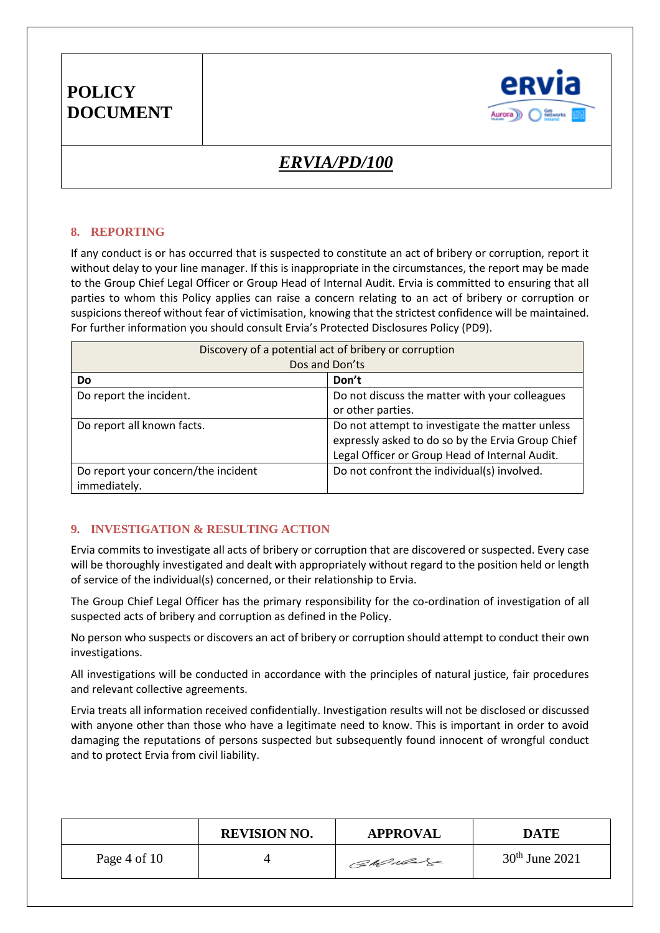

# *ERVIA/PD/100*

#### **8. REPORTING**

If any conduct is or has occurred that is suspected to constitute an act of bribery or corruption, report it without delay to your line manager. If this is inappropriate in the circumstances, the report may be made to the Group Chief Legal Officer or Group Head of Internal Audit. Ervia is committed to ensuring that all parties to whom this Policy applies can raise a concern relating to an act of bribery or corruption or suspicions thereof without fear of victimisation, knowing that the strictest confidence will be maintained. For further information you should consult Ervia's Protected Disclosures Policy (PD9).

| Discovery of a potential act of bribery or corruption |                                                                                                                                                        |  |  |
|-------------------------------------------------------|--------------------------------------------------------------------------------------------------------------------------------------------------------|--|--|
| Dos and Don'ts                                        |                                                                                                                                                        |  |  |
| Do                                                    | Don't                                                                                                                                                  |  |  |
| Do report the incident.                               | Do not discuss the matter with your colleagues<br>or other parties.                                                                                    |  |  |
| Do report all known facts.                            | Do not attempt to investigate the matter unless<br>expressly asked to do so by the Ervia Group Chief<br>Legal Officer or Group Head of Internal Audit. |  |  |
| Do report your concern/the incident<br>immediately.   | Do not confront the individual(s) involved.                                                                                                            |  |  |

#### **9. INVESTIGATION & RESULTING ACTION**

Ervia commits to investigate all acts of bribery or corruption that are discovered or suspected. Every case will be thoroughly investigated and dealt with appropriately without regard to the position held or length of service of the individual(s) concerned, or their relationship to Ervia.

The Group Chief Legal Officer has the primary responsibility for the co-ordination of investigation of all suspected acts of bribery and corruption as defined in the Policy.

No person who suspects or discovers an act of bribery or corruption should attempt to conduct their own investigations.

All investigations will be conducted in accordance with the principles of natural justice, fair procedures and relevant collective agreements.

Ervia treats all information received confidentially. Investigation results will not be disclosed or discussed with anyone other than those who have a legitimate need to know. This is important in order to avoid damaging the reputations of persons suspected but subsequently found innocent of wrongful conduct and to protect Ervia from civil liability.

|              | <b>REVISION NO.</b> | <b>APPROVAL</b> | DATE             |
|--------------|---------------------|-----------------|------------------|
| Page 4 of 10 |                     | CaMular         | $30th$ June 2021 |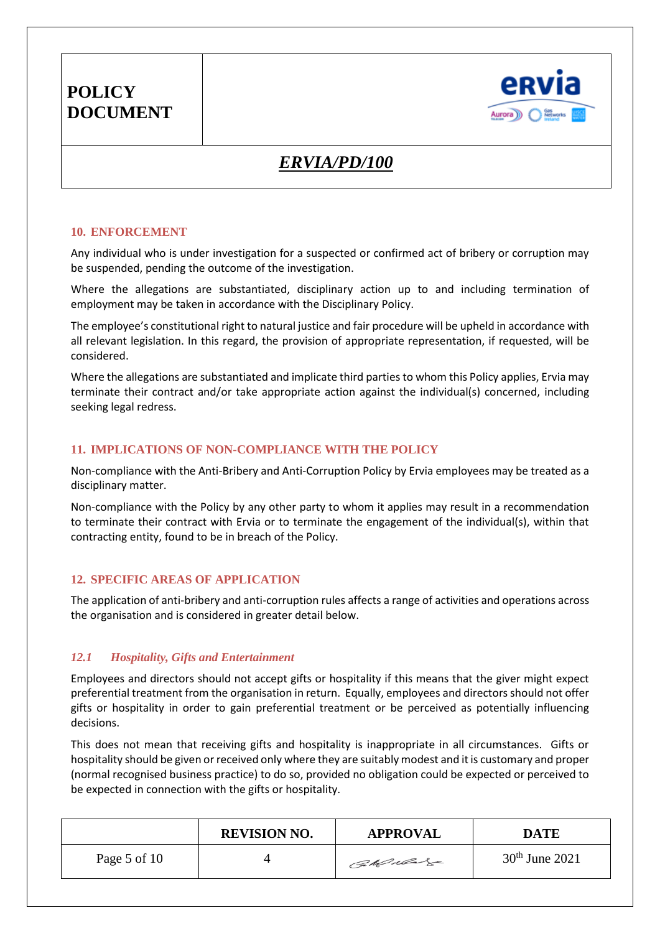

# *ERVIA/PD/100*

#### **10. ENFORCEMENT**

Any individual who is under investigation for a suspected or confirmed act of bribery or corruption may be suspended, pending the outcome of the investigation.

Where the allegations are substantiated, disciplinary action up to and including termination of employment may be taken in accordance with the Disciplinary Policy.

The employee's constitutional right to natural justice and fair procedure will be upheld in accordance with all relevant legislation. In this regard, the provision of appropriate representation, if requested, will be considered.

Where the allegations are substantiated and implicate third parties to whom this Policy applies, Ervia may terminate their contract and/or take appropriate action against the individual(s) concerned, including seeking legal redress.

#### **11. IMPLICATIONS OF NON-COMPLIANCE WITH THE POLICY**

Non-compliance with the Anti-Bribery and Anti-Corruption Policy by Ervia employees may be treated as a disciplinary matter.

Non-compliance with the Policy by any other party to whom it applies may result in a recommendation to terminate their contract with Ervia or to terminate the engagement of the individual(s), within that contracting entity, found to be in breach of the Policy.

#### **12. SPECIFIC AREAS OF APPLICATION**

The application of anti-bribery and anti-corruption rules affects a range of activities and operations across the organisation and is considered in greater detail below.

#### *12.1 Hospitality, Gifts and Entertainment*

Employees and directors should not accept gifts or hospitality if this means that the giver might expect preferential treatment from the organisation in return. Equally, employees and directors should not offer gifts or hospitality in order to gain preferential treatment or be perceived as potentially influencing decisions.

This does not mean that receiving gifts and hospitality is inappropriate in all circumstances. Gifts or hospitality should be given or received only where they are suitably modest and it is customary and proper (normal recognised business practice) to do so, provided no obligation could be expected or perceived to be expected in connection with the gifts or hospitality.

|              | <b>REVISION NO.</b> | <b>APPROVAL</b> | <b>DATE</b>      |
|--------------|---------------------|-----------------|------------------|
| Page 5 of 10 |                     | CaMular         | $30th$ June 2021 |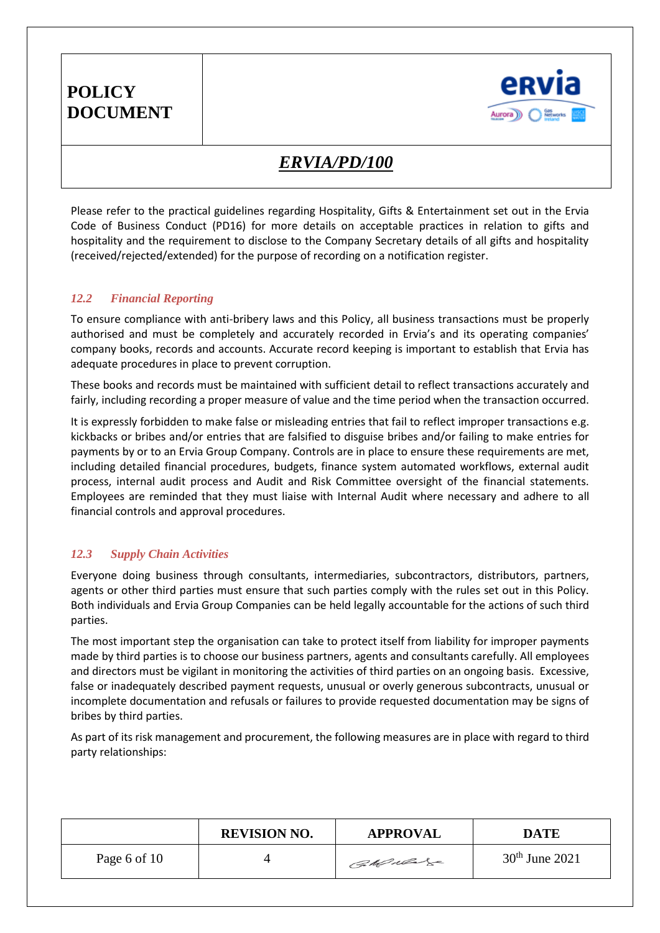

### *ERVIA/PD/100*

Please refer to the practical guidelines regarding Hospitality, Gifts & Entertainment set out in the Ervia Code of Business Conduct (PD16) for more details on acceptable practices in relation to gifts and hospitality and the requirement to disclose to the Company Secretary details of all gifts and hospitality (received/rejected/extended) for the purpose of recording on a notification register.

#### *12.2 Financial Reporting*

To ensure compliance with anti-bribery laws and this Policy, all business transactions must be properly authorised and must be completely and accurately recorded in Ervia's and its operating companies' company books, records and accounts. Accurate record keeping is important to establish that Ervia has adequate procedures in place to prevent corruption.

These books and records must be maintained with sufficient detail to reflect transactions accurately and fairly, including recording a proper measure of value and the time period when the transaction occurred.

It is expressly forbidden to make false or misleading entries that fail to reflect improper transactions e.g. kickbacks or bribes and/or entries that are falsified to disguise bribes and/or failing to make entries for payments by or to an Ervia Group Company. Controls are in place to ensure these requirements are met, including detailed financial procedures, budgets, finance system automated workflows, external audit process, internal audit process and Audit and Risk Committee oversight of the financial statements. Employees are reminded that they must liaise with Internal Audit where necessary and adhere to all financial controls and approval procedures.

#### *12.3 Supply Chain Activities*

Everyone doing business through consultants, intermediaries, subcontractors, distributors, partners, agents or other third parties must ensure that such parties comply with the rules set out in this Policy. Both individuals and Ervia Group Companies can be held legally accountable for the actions of such third parties.

The most important step the organisation can take to protect itself from liability for improper payments made by third parties is to choose our business partners, agents and consultants carefully. All employees and directors must be vigilant in monitoring the activities of third parties on an ongoing basis. Excessive, false or inadequately described payment requests, unusual or overly generous subcontracts, unusual or incomplete documentation and refusals or failures to provide requested documentation may be signs of bribes by third parties.

As part of its risk management and procurement, the following measures are in place with regard to third party relationships:

|              | <b>REVISION NO.</b> | <b>APPROVAL</b> | DATE             |
|--------------|---------------------|-----------------|------------------|
| Page 6 of 10 |                     | CaMular         | $30th$ June 2021 |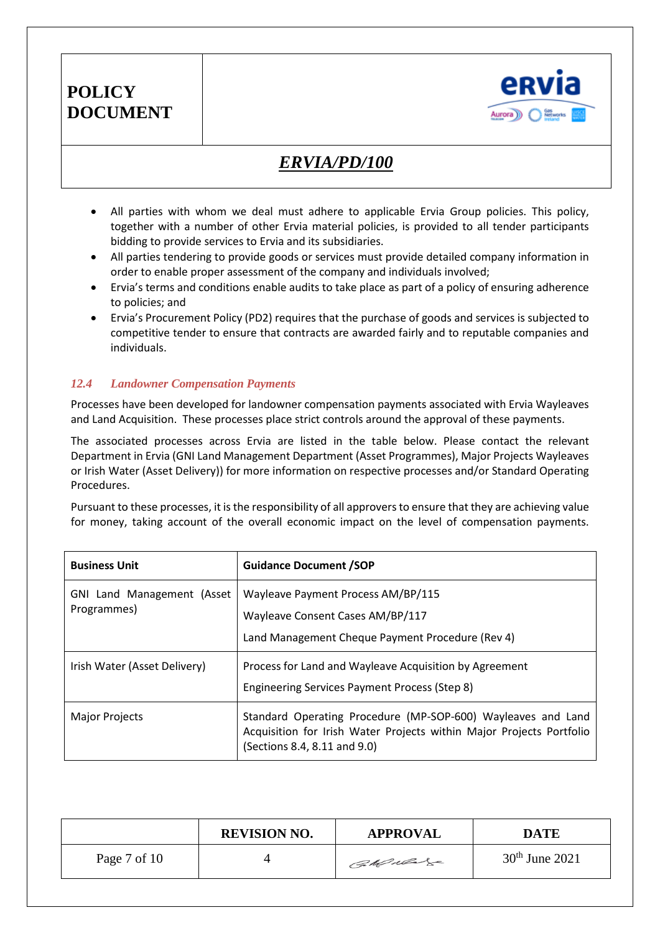

# *ERVIA/PD/100*

- All parties with whom we deal must adhere to applicable Ervia Group policies. This policy, together with a number of other Ervia material policies, is provided to all tender participants bidding to provide services to Ervia and its subsidiaries.
- All parties tendering to provide goods or services must provide detailed company information in order to enable proper assessment of the company and individuals involved;
- Ervia's terms and conditions enable audits to take place as part of a policy of ensuring adherence to policies; and
- Ervia's Procurement Policy (PD2) requires that the purchase of goods and services is subjected to competitive tender to ensure that contracts are awarded fairly and to reputable companies and individuals.

#### *12.4 Landowner Compensation Payments*

Processes have been developed for landowner compensation payments associated with Ervia Wayleaves and Land Acquisition. These processes place strict controls around the approval of these payments.

The associated processes across Ervia are listed in the table below. Please contact the relevant Department in Ervia (GNI Land Management Department (Asset Programmes), Major Projects Wayleaves or Irish Water (Asset Delivery)) for more information on respective processes and/or Standard Operating Procedures.

Pursuant to these processes, it is the responsibility of all approvers to ensure that they are achieving value for money, taking account of the overall economic impact on the level of compensation payments.

| <b>Business Unit</b>                             | <b>Guidance Document /SOP</b>                                                                                                                                        |
|--------------------------------------------------|----------------------------------------------------------------------------------------------------------------------------------------------------------------------|
| <b>GNI Land Management (Asset</b><br>Programmes) | Wayleave Payment Process AM/BP/115<br>Wayleave Consent Cases AM/BP/117<br>Land Management Cheque Payment Procedure (Rev 4)                                           |
| Irish Water (Asset Delivery)                     | Process for Land and Wayleave Acquisition by Agreement<br>Engineering Services Payment Process (Step 8)                                                              |
| <b>Major Projects</b>                            | Standard Operating Procedure (MP-SOP-600) Wayleaves and Land<br>Acquisition for Irish Water Projects within Major Projects Portfolio<br>(Sections 8.4, 8.11 and 9.0) |

|              | <b>REVISION NO.</b> | <b>APPROVAL</b> | <b>DATE</b>      |
|--------------|---------------------|-----------------|------------------|
| Page 7 of 10 |                     | Callado         | $30th$ June 2021 |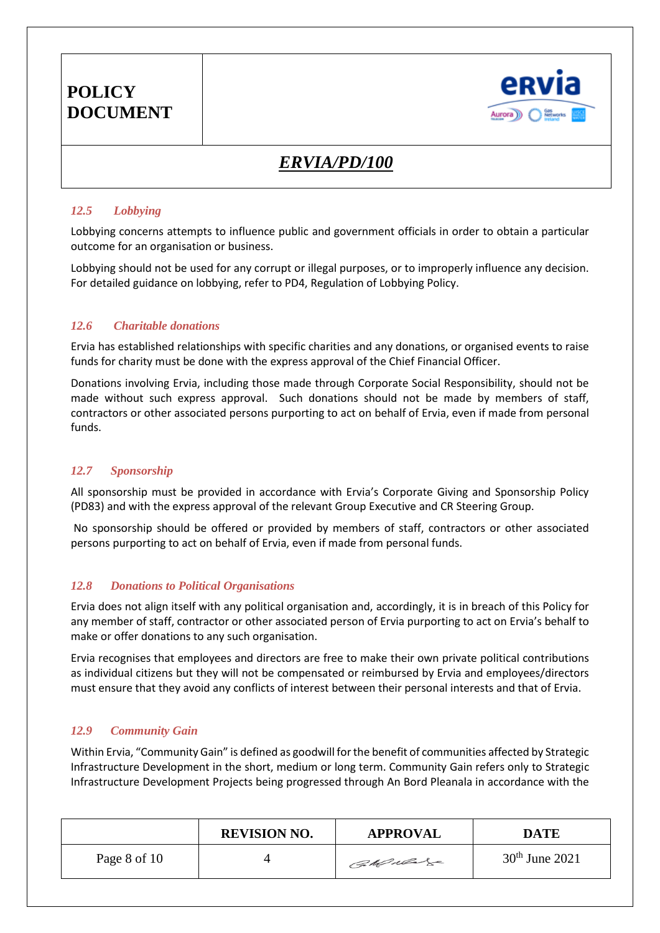

# *ERVIA/PD/100*

#### *12.5 Lobbying*

Lobbying concerns attempts to influence public and government officials in order to obtain a particular outcome for an organisation or business.

Lobbying should not be used for any corrupt or illegal purposes, or to improperly influence any decision. For detailed guidance on lobbying, refer to PD4, Regulation of Lobbying Policy.

#### *12.6 Charitable donations*

Ervia has established relationships with specific charities and any donations, or organised events to raise funds for charity must be done with the express approval of the Chief Financial Officer.

Donations involving Ervia, including those made through Corporate Social Responsibility, should not be made without such express approval. Such donations should not be made by members of staff, contractors or other associated persons purporting to act on behalf of Ervia, even if made from personal funds.

#### *12.7 Sponsorship*

All sponsorship must be provided in accordance with Ervia's Corporate Giving and Sponsorship Policy (PD83) and with the express approval of the relevant Group Executive and CR Steering Group.

No sponsorship should be offered or provided by members of staff, contractors or other associated persons purporting to act on behalf of Ervia, even if made from personal funds.

#### *12.8 Donations to Political Organisations*

Ervia does not align itself with any political organisation and, accordingly, it is in breach of this Policy for any member of staff, contractor or other associated person of Ervia purporting to act on Ervia's behalf to make or offer donations to any such organisation.

Ervia recognises that employees and directors are free to make their own private political contributions as individual citizens but they will not be compensated or reimbursed by Ervia and employees/directors must ensure that they avoid any conflicts of interest between their personal interests and that of Ervia.

#### *12.9 Community Gain*

Within Ervia, "Community Gain" is defined as goodwill for the benefit of communities affected by Strategic Infrastructure Development in the short, medium or long term. Community Gain refers only to Strategic Infrastructure Development Projects being progressed through An Bord Pleanala in accordance with the

|              | <b>REVISION NO.</b> | <b>APPROVAL</b> | <b>DATE</b>      |
|--------------|---------------------|-----------------|------------------|
| Page 8 of 10 |                     | CaMular         | $30th$ June 2021 |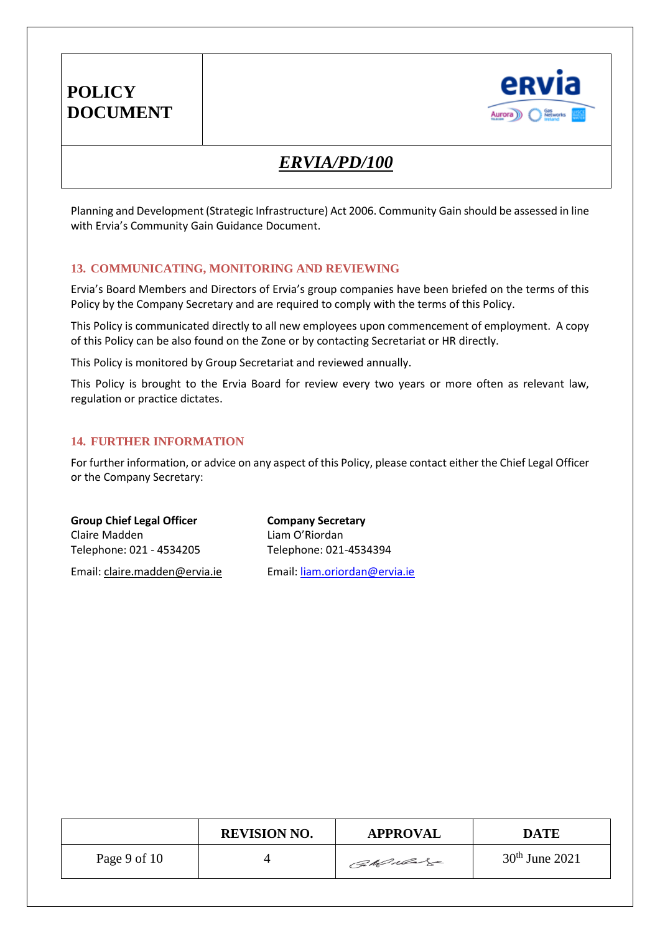

# *ERVIA/PD/100*

Planning and Development (Strategic Infrastructure) Act 2006. Community Gain should be assessed in line with Ervia's Community Gain Guidance Document.

#### **13. COMMUNICATING, MONITORING AND REVIEWING**

Ervia's Board Members and Directors of Ervia's group companies have been briefed on the terms of this Policy by the Company Secretary and are required to comply with the terms of this Policy.

This Policy is communicated directly to all new employees upon commencement of employment. A copy of this Policy can be also found on the Zone or by contacting Secretariat or HR directly.

This Policy is monitored by Group Secretariat and reviewed annually.

This Policy is brought to the Ervia Board for review every two years or more often as relevant law, regulation or practice dictates.

#### **14. FURTHER INFORMATION**

For further information, or advice on any aspect of this Policy, please contact either the Chief Legal Officer or the Company Secretary:

| <b>Group Chief Legal Officer</b> | <b>Company Secretary</b>      |
|----------------------------------|-------------------------------|
| Claire Madden                    | Liam O'Riordan                |
| Telephone: 021 - 4534205         | Telephone: 021-4534394        |
| Email: claire.madden@ervia.ie    | Email: liam.oriordan@ervia.ie |

|              | <b>REVISION NO.</b> | <b>APPROVAL</b> | <b>DATE</b>      |
|--------------|---------------------|-----------------|------------------|
| Page 9 of 10 |                     | CaMulage        | $30th$ June 2021 |